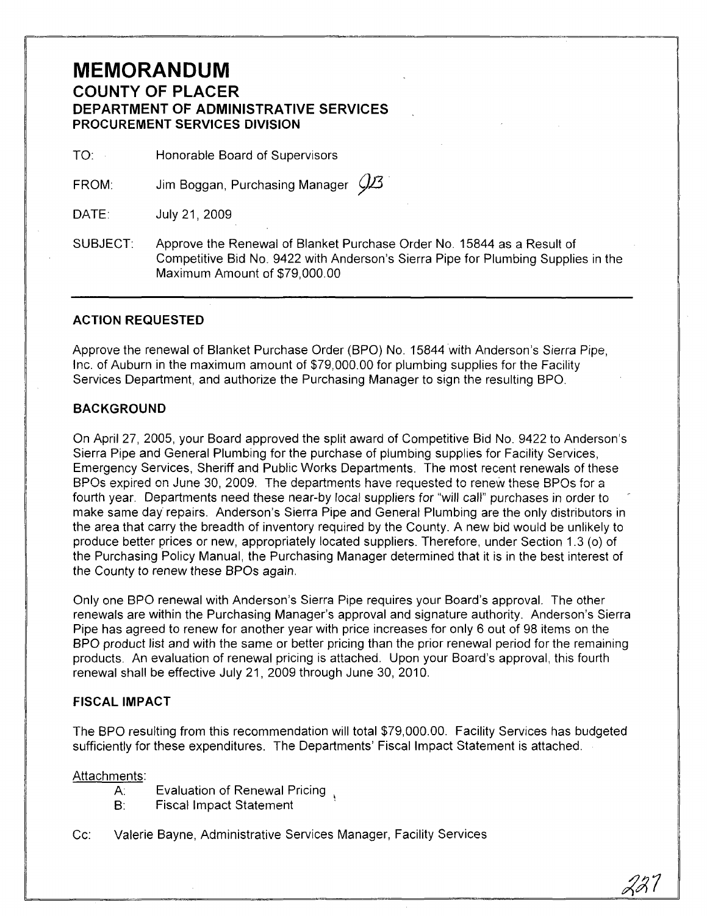### **MEMORANDUM COUNTY OF PLACER DEPARTMENT OF ADMINISTRATIVE SERVICES PROCUREMENT SERVICES DIVISION**

TO: Honorable Board of Supervisors

FROM: Jim Boggan, Purchasing Manager  $\mathcal{Q\!I\!3}$ 

DATE: July 21, 2009

SUBJECT: Approve the Renewal of Blanket Purchase Order No. 15844 as a Result of Competitive Bid No. 9422 with Anderson's Sierra Pipe for Plumbing Supplies in the Maximum Amount of \$79,000.00

#### **ACTION REQUESTED**

Approve the renewal of Blanket Purchase Order (BPO) No. 15844 with Anderson's Sierra Pipe, Inc. of Auburn in the maximum amount of \$79,000.00 for plumbing supplies for the Facility Services Department, and authorize the Purchasing Manager to sign the resulting BPO.

#### **BACKGROUND**

On April 27, 2005, your Board approved the split award of Competitive Bid No. 9422 to Anderson's Sierra Pipe and General Plumbing for the purchase of plumbing supplies for Facility Services, Emergency Services, Sheriff and Public Works Departments. The most recent renewals of these BPOs expired on June 30, 2009. The departments have requested to renew these BPOs for a fourth year. Departments need these near-by local suppliers for "will call" purchases in order to make same day repairs. Anderson's Sierra Pipe and General Plumbing are the only distributors in the area that carry the breadth of inventory required by the County. A new bid would be unlikely to produce better prices or new, appropriately located suppliers. Therefore, under Section 1.3 (0) of the Purchasing Policy Manual, the Purchasing Manager determined that it is in the best interest of the County to renew these BPOs again.

Only one BPO renewal with Anderson's Sierra Pipe requires your Board's approval. The other renewals are within the Purchasing Manager's approval and signature authority. Anderson's Sierra Pipe has agreed to renew for another year with price increases for only 6 out of 98 items on the BPO product list and with the same or better pricing than the prior renewal period for the remaining products. An evaluation of renewal pricing is attached. Upon your Board's approval, this fourth renewal shall be effective July 21, 2009 through June 30, 2010.

#### **FISCAL IMPACT**

The BPO resulting from this recommendation will total \$79,000.00. Facility Services has budgeted sufficiently for these expenditures. The Departments' Fiscal Impact Statement is attached.

Attachments:

- A: Evaluation of Renewal Pricing
- B: Fiscal Impact Statement .
- Cc: Valerie Bayne, Administrative Services Manager, Facility Services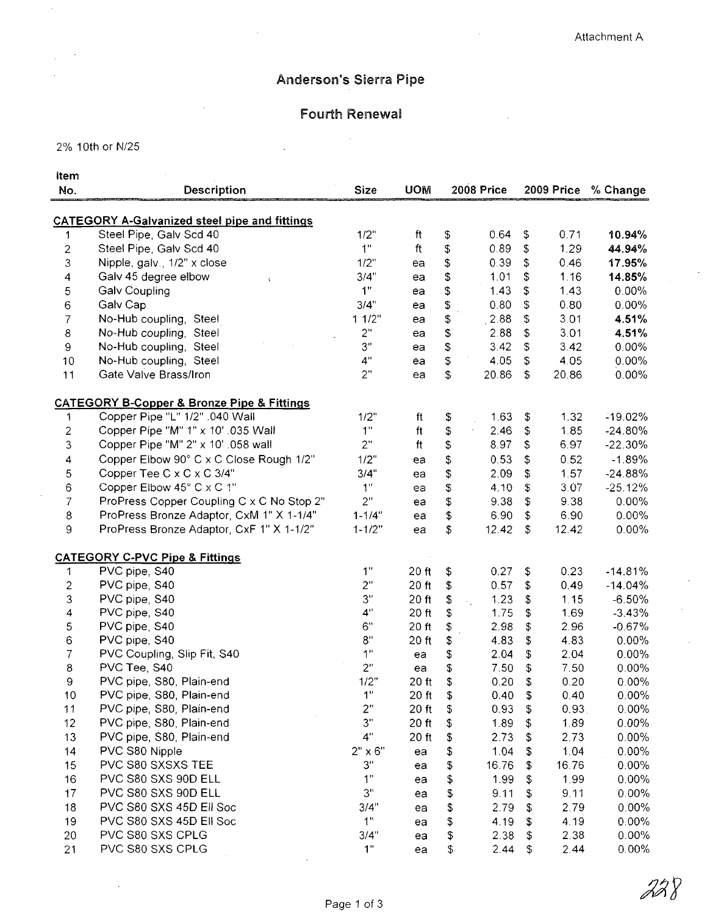228

# Anderson's Sierra Pipe

## **Fourth Renewal**  $\mathcal{A}^{\mathcal{A}}$

2% 10th or N/25

 $\bar{z}$ 

| Item                      |                                                           |                |            |                |              |                 |              |           |
|---------------------------|-----------------------------------------------------------|----------------|------------|----------------|--------------|-----------------|--------------|-----------|
| No.                       | Description                                               | <b>Size</b>    | <b>UOM</b> |                | 2008 Price   |                 | 2009 Price   | % Change  |
|                           |                                                           |                |            |                |              |                 |              |           |
|                           | <b>CATEGORY A-Galvanized steel pipe and fittings</b>      |                |            |                |              |                 |              |           |
| 1                         | Steel Pipe, Galv Scd 40                                   | 1/2"           | ft         | \$             | 0.64         | \$              | 0.71         | 10.94%    |
| $\overline{\mathbf{c}}$   | Steel Pipe, Galv Scd 40                                   | 1"             | ft         | \$             | 0.89         | \$              | 1.29         | 44.94%    |
| 3                         | Nipple, galv., 1/2" x close                               | 1/2"           | ea         | \$             | 0.39         | \$              | 0.46         | 17.95%    |
| $\overline{\mathbf{4}}$   | Galv 45 degree elbow                                      | 3/4"           | ea         | \$             | 1.01         | \$              | 1.16         | 14.85%    |
| 5                         | <b>Galv Coupling</b>                                      | 1"             | ea         | \$             | 1.43         | \$              | 143          | 0.00%     |
| $\mathbf 6$               | Galv Cap                                                  | 3/4"           | ea         | \$             | 0.80         | \$              | 0.80         | $0.00\%$  |
| $\overline{7}$            | No-Hub coupling, Steel                                    | 11/2"          | ea         | \$             | 2.88         | \$              | 3.01         | 4.51%     |
| 8                         | No-Hub coupling, Steel                                    | 2"             | ea         | \$             | 2.88         | \$              | 3.01         | 4.51%     |
| $\boldsymbol{9}$          | No-Hub coupling, Steel                                    | 3"             | ea         | \$             | 3.42         | \$              | 3.42         | $0.00\%$  |
| 10                        | No-Hub coupling, Steel                                    | 4"             | ea         | \$             | 4.05         | \$              | 4.05         | $0.00\%$  |
| 11                        | Gate Valve Brass/Iron                                     | 2"             | ea         | \$             | 20.86        | \$              | 20.86        | $0.00\%$  |
|                           | <b>CATEGORY B-Copper &amp; Bronze Pipe &amp; Fittings</b> |                |            |                |              |                 |              |           |
| 1                         | Copper Pipe "L" 1/2" .040 Wall                            | 1/2"           | ft         | \$             | 1.63         | \$              | 1.32         | $-19.02%$ |
| $\overline{c}$            | Copper Pipe "M" 1" x 10' .035 Wall                        | 1"             | ft         | \$             | 2.46         | \$              | 1.85         | $-24.80%$ |
| 3                         | Copper Pipe "M" 2" x 10' .058 wall                        | 2"             | ft         | \$             | 8.97         | \$              | 6.97         | $-22.30%$ |
| 4                         | Copper Elbow 90° C x C Close Rough 1/2"                   | 1/2"           | ea         | \$             | 0.53         | \$              | 0.52         | $-1.89%$  |
| 5                         | Copper Tee C x C x C 3/4"                                 | 3/4"           | ea         | \$             | 2.09         | \$              | 1.57         | $-24.88%$ |
| 6                         | Copper Elbow 45° C x C 1"                                 | $1^{\rm o}$    | ea         | $\mathfrak{P}$ | 4.10         | \$              | 3.07         | $-25.12%$ |
| $\overline{7}$            | ProPress Copper Coupling C x C No Stop 2"                 | 2"             | ea         | \$             | 9.38         | \$              | 9.38         | $0.00\%$  |
| $\,8\,$                   | ProPress Bronze Adaptor, CxM 1" X 1-1/4"                  | $1 - 1/4"$     | ea         | \$             | 6.90         | \$              | 6.90         | 0.00%     |
| 9                         | ProPress Bronze Adaptor, CxF 1" X 1-1/2"                  | $1 - 1/2"$     | ea         | \$             | 12.42        | $\mathfrak{s}$  | 12.42        | $0.00\%$  |
|                           | <b>CATEGORY C-PVC Pipe &amp; Fittings</b>                 |                |            |                |              |                 |              |           |
| $\mathbf{1}$              | PVC pipe, S40                                             | 1"             | 20 ft      | \$             | 0.27         | \$              | 0.23         | $-14.81%$ |
| $\sqrt{2}$                | PVC pipe, S40                                             | 2"             | 20 ft      | \$             | 0.57         | \$              | 0.49         | $-14.04%$ |
| $\ensuremath{\mathsf{3}}$ | PVC pipe, S40                                             | 3"             | 20 ft      | \$             | 1.23         | $\ddot{\theta}$ | 1.15         | $-6.50%$  |
| 4                         | PVC pipe, S40                                             | 4"             | 20 ft      | \$             | 1.75         | \$              | 1.69         | $-3.43%$  |
| 5                         | PVC pipe, S40                                             | 6"             | 20 ft      | \$             | 2.98         | \$              | 2.96         | $-0.67%$  |
| 6                         | PVC pipe, S40                                             | 8"             | 20 ft      | \$             | 4.83         | \$              | 4.83         | $0.00\%$  |
| 7                         | PVC Coupling, Slip Fit, S40                               | 1"             | ea         | \$             | 2.04         | \$              | 2.04         | 0.00%     |
| 8                         | PVC Tee, S40                                              | 2"             | ea         | \$             | 7.50         | \$              | 7.50         | 0.00%     |
| 9                         | PVC pipe, S80, Plain-end                                  | 1/2"           | 20 ft      | \$             | 0.20         | \$              | 0.20         | $0.00\%$  |
| 10                        | PVC pipe, S80, Plain-end                                  | 1"             | 20 ft      | \$             | 0.40         | \$              | 0.40         | $0.00\%$  |
| 11                        | PVC pipe, S80, Plain-end                                  | 2"             | 20 ft      | \$             | 0.93         | \$              | 0.93         | 0.00%     |
| 12                        | PVC pipe, S80, Plain-end                                  | 3"             | 20 ft      | \$             | 1.89         | \$              | 1.89         | $0.00\%$  |
| 13                        | PVC pipe, S80, Plain-end                                  | 4"             | 20 ft      | \$             | 2.73         | \$              | 2.73         | 0.00%     |
| 14                        | PVC S80 Nipple                                            | $2" \times 6"$ | ea         | \$             | 1.04         | \$              | 1.04         | $0.00\%$  |
| 15                        | PVC S80 SXSXS TEE                                         | 3"             |            | \$             | 16.76        | \$              | 16.76        | $0.00\%$  |
| 16                        | PVC S80 SXS 90D ELL                                       | 1"             | ea         | \$             | 1.99         | \$              | 1.99         | $0.00\%$  |
| 17                        | PVC S80 SXS 90D ELL                                       | 3"             | ea         | \$             | 9.11         | \$              | 9.11         | 0.00%     |
| 18                        | PVC S80 SXS 45D Ell Soc                                   | 3/4"           | ea         |                | 2.79         | \$              | 2.79         | $0.00\%$  |
|                           | PVC S80 SXS 45D Ell Soc                                   | 1"             | ea         | \$             |              |                 |              | 0.00%     |
| 19<br>20                  | PVC S80 SXS CPLG                                          | 3/4"           | ea         | \$             | 4.19<br>2.38 | \$<br>\$        | 4.19<br>2.38 | 0.00%     |
| 21                        | PVC S80 SXS CPLG                                          | 1"             | ea         | \$<br>\$       | 2.44         | \$              | 2.44         | $0.00\%$  |
|                           |                                                           |                | ea         |                |              |                 |              |           |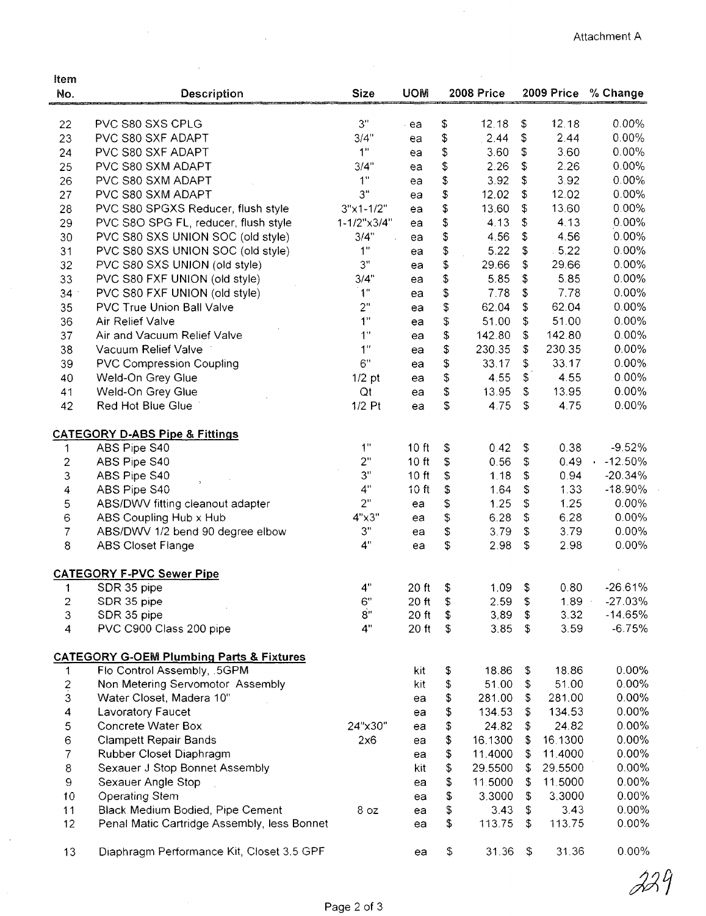$\frac{1}{2}$ 

| Item                     |                                                     |                |                  |          |                  |                           |                 |                      |
|--------------------------|-----------------------------------------------------|----------------|------------------|----------|------------------|---------------------------|-----------------|----------------------|
| No.                      | Description                                         | <b>Size</b>    | <b>UOM</b>       |          | 2008 Price       |                           |                 | 2009 Price % Change  |
|                          |                                                     |                |                  |          |                  |                           |                 |                      |
| 22                       | PVC S80 SXS CPLG                                    | 3"             | ea               | \$       | 12.18            | \$                        | 12.18           | 0.00%                |
| 23                       | PVC S80 SXF ADAPT                                   | 3/4"           | ea               | \$       | 2.44             | \$                        | 2.44            | $0.00\%$             |
| 24                       | PVC S80 SXF ADAPT                                   | 1 <sup>0</sup> | ea               | \$       | 3.60             | \$                        | 3.60            | $0.00\%$             |
| 25                       | PVC S80 SXM ADAPT                                   | 3/4"           | ea               | \$       | 2.26             | \$                        | 2.26            | 0.00%                |
| 26                       | PVC S80 SXM ADAPT                                   | 1"             | ea               | \$       | 3.92             | \$                        | 3.92            | $0.00\%$             |
| 27                       | PVC S80 SXM ADAPT                                   | 3"             | ea               | \$       | 12.02            | \$                        | 12.02           | 0.00%                |
| 28                       | PVC S80 SPGXS Reducer, flush style                  | $3"x1-1/2"$    | ea               | \$       | 13.60            | \$                        | 13.60           | $0.00\%$             |
| 29                       | PVC S8O SPG FL, reducer, flush style                | 1-1/2"x3/4"    | ea               | \$       | 4.13             | \$                        | 4.13            | $0.00\%$             |
| 30                       | PVC S80 SXS UNION SOC (old style)                   | 3/4"           | ea               | \$       | 4.56             | \$                        | 4.56            | 0.00%                |
| 31                       | PVC S80 SXS UNION SOC (old style)                   | 1"             | ea               | \$       | 5.22             | \$                        | 5.22            | $0.00\%$             |
| 32                       | PVC S80 SXS UNION (old style)                       | 3"             | ea               | \$       | 29.66            | \$                        | 29.66           | $0.00\%$             |
| 33                       | PVC S80 FXF UNION (old style)                       | 3/4"           | ea               | \$       | 5.85             | \$                        | 5.85            | 0.00%                |
| 34                       | PVC S80 FXF UNION (old style)                       | 1"             | ea               | \$       | 7.78             | \$                        | 7.78            | $0.00\%$             |
| 35                       | <b>PVC True Union Ball Valve</b>                    | 2"             | ea               | \$       | 62.04            | \$                        | 62.04           | $0.00\%$             |
| 36                       | Air Relief Valve                                    | 1"             | ea               | \$       | 51.00            | \$                        | 51.00           | $0.00\%$             |
| 37                       | Air and Vacuum Relief Valve                         | 1"             | ea               | \$       | 142.80           | \$                        | 142.80          | 0.00%                |
| 38                       | Vacuum Relief Valve                                 | 1 <sup>n</sup> | ea               | \$       | 230.35           | \$                        | 230.35          | $0.00\%$             |
| 39                       | <b>PVC Compression Coupling</b>                     | 6"             | ea               | \$       | 33.17            | \$                        | 33.17           | 0.00%                |
| 40                       | Weld-On Grey Glue                                   | $1/2$ pt       | ea               | \$       | 4.55             | \$                        | 4.55            | 0.00%                |
| 41                       | Weld-On Grey Glue                                   | Qt             | ea               | \$       | 13.95            | \$                        | 13.95           | $0.00\%$             |
| 42                       | Red Hot Blue Glue                                   | $1/2$ Pt       | ea               | \$       | 4.75             | \$                        | 4.75            | 0.00%                |
|                          | <b>CATEGORY D-ABS Pipe &amp; Fittings</b>           |                |                  |          |                  |                           |                 |                      |
| 1                        | ABS Pipe S40                                        | 1"             | 10 ft            | \$       | 0.42             | \$                        | 0.38            | $-9.52%$             |
| $\overline{\mathbf{c}}$  | ABS Pipe S40                                        | 2"             | 10 ft            | \$       | 0.56             | \$                        | 0.49            | $-12.50%$            |
| 3                        | ABS Pipe S40                                        | 3"             | 10 ft            | \$       | 1.18             | \$                        | 0.94            | $-20.34%$            |
| 4                        | ABS Pipe S40                                        | 4"             | 10 <sub>ft</sub> | \$       | 1.64             | \$                        | 1.33            | $-18.90\%$           |
| 5                        | ABS/DWV fitting cleanout adapter                    | 2"             | ea               | \$       | 1.25             | \$                        | 1.25            | 0.00%                |
| 6                        | ABS Coupling Hub x Hub                              | $4" \times 3"$ | ea               | \$       | 6.28             | \$                        | 6.28            | $0.00\%$             |
| 7                        | ABS/DWV 1/2 bend 90 degree elbow                    | 3"             | ea               | \$       | 3.79             | \$                        | 3.79            | $0.00\%$             |
| 8                        | <b>ABS Closet Flange</b>                            | 4"             | ea               | \$       | 2.98             | \$                        | 2.98            | $0.00\%$             |
|                          | <b>CATEGORY F-PVC Sewer Pipe</b>                    |                |                  |          |                  |                           |                 |                      |
| $\mathbf{1}$             | SDR 35 pipe                                         | 4"             | 20 ft            | \$       | 1.09             | \$                        | 0.80            | 26.61%               |
| $\overline{\mathbf{c}}$  | SDR 35 pipe                                         | 6"             | $20$ ft          | \$       | 2.59             | \$                        | $1.89 -$        | $-27.03%$            |
| 3                        | SDR 35 pipe                                         | 8"             | $20$ ft          | \$       | 3,89             | \$                        | 3.32            | $-14.65%$            |
| $\overline{4}$           | PVC C900 Class 200 pipe                             | 4"             | $20$ ft          | \$       | 3.85             | \$                        | 3.59            | $-6.75%$             |
|                          |                                                     |                |                  |          |                  |                           |                 |                      |
|                          | <b>CATEGORY G-OEM Plumbing Parts &amp; Fixtures</b> |                |                  |          |                  |                           |                 |                      |
| 1                        | Flo Control Assembly, .5GPM                         |                | kit              | \$       | 18.86            | \$                        | 18.86           | $0.00\%$             |
| $\frac{2}{3}$            | Non Metering Servomotor Assembly                    |                | kit              | \$       | 51.00            | \$                        | 51.00<br>281.00 | $0.00\%$<br>$0.00\%$ |
| $\overline{\mathbf{4}}$  | Water Closet, Madera 10"<br>Lavoratory Faucet       |                | ea               | \$       | 281.00<br>134.53 | \$<br>\$                  | 134.53          | $0.00\%$             |
|                          | Concrete Water Box                                  | 24"x30"        | ea               | \$       | 24.82            | \$                        | 24.82           | $0.00\%$             |
| 5<br>$\mathsf 6$         | <b>Clampett Repair Bands</b>                        | 2x6            | ea               | \$       | 16.1300          | \$                        | 16.1300         | 0.00%                |
| $\overline{\mathcal{I}}$ | Rubber Closet Diaphragm                             |                | ea<br>ea         | \$<br>\$ | 11.4000          | \$                        | 11.4000         | $0.00\%$             |
| $\bf8$                   | Sexauer J Stop Bonnet Assembly                      |                | kit              | \$       | 29.5500          | \$                        | 29.5500         | 0.00%                |
| 9                        | Sexauer Angle Stop                                  |                | ea               | \$       | 11.5000          | \$                        | 11.5000         | $0.00\%$             |
| 10                       | <b>Operating Stem</b>                               |                | ea               | \$       | 3.3000           | \$                        | 3.3000          | $0.00\%$             |
| 11                       | Black Medium Bodied, Pipe Cement                    | 8 oz           | ea               | \$       | 3.43             | \$                        | 3.43            | $0.00\%$             |
| 12                       | Penal Matic Cartridge Assembly, less Bonnet         |                | ea               | \$       | 113.75           | \$                        | 113.75          | $0.00\%$             |
|                          |                                                     |                |                  |          |                  |                           |                 |                      |
| 13                       | Diaphragm Performance Kit, Closet 3.5 GPF           |                | ea               | \$       | 31.36            | $\boldsymbol{\mathsf{D}}$ | 31.36           | 0.00%                |

 $\cdot$ 

 $\bar{\lambda}$ 

 $\hat{\mathcal{L}}$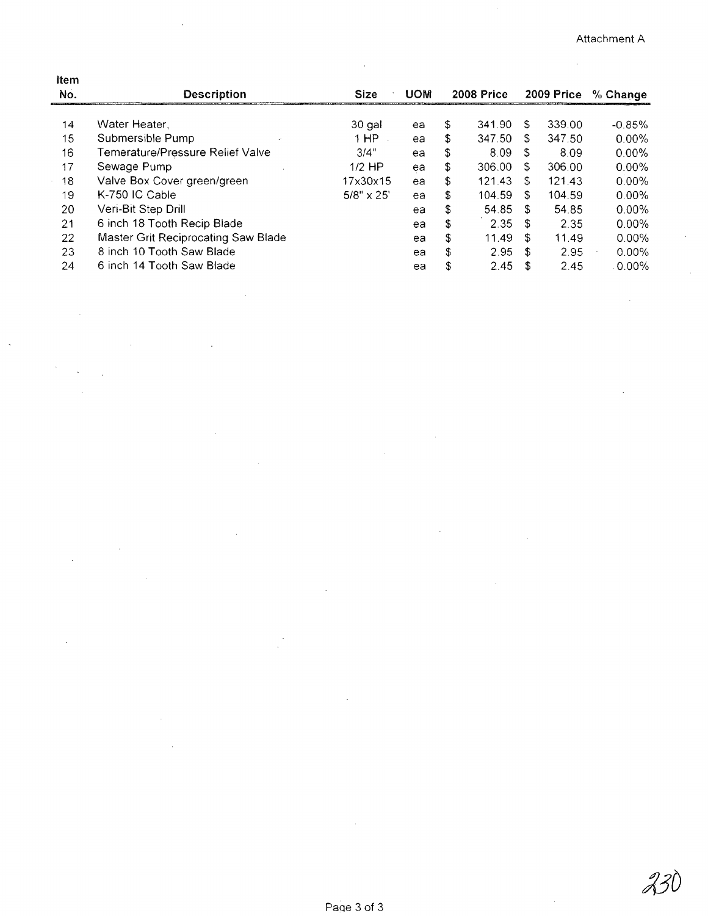$\alpha$ 

 $\hat{\boldsymbol{\beta}}$ 

| ltem |                                     |                   |            |            |        |            |        |          |
|------|-------------------------------------|-------------------|------------|------------|--------|------------|--------|----------|
| No.  | <b>Description</b>                  | <b>Size</b>       | <b>UOM</b> | 2008 Price |        | 2009 Price |        | % Change |
|      |                                     |                   |            |            |        |            |        |          |
| 14   | Water Heater.                       | 30 gal            | ea         | \$         | 341.90 | \$.        | 339.00 | $-0.85%$ |
| 15   | Submersible Pump                    | 1 HP              | ea         | S          | 347.50 | £.         | 347.50 | $0.00\%$ |
| 16   | Temerature/Pressure Relief Valve    | 3/4"              | ea         | \$         | 8.09   | -S         | 8.09   | $0.00\%$ |
| 17   | Sewage Pump                         | $1/2$ HP          | ea         | \$         | 306.00 | S.         | 306.00 | $0.00\%$ |
| 18   | Valve Box Cover green/green         | 17x30x15          | ea         | S          | 121.43 | S          | 121.43 | $0.00\%$ |
| 19   | K-750 IC Cable                      | $5/8" \times 25'$ | ea         | S          | 104.59 | S          | 104.59 | $0.00\%$ |
| 20   | Veri-Bit Step Drill                 |                   | ea         | \$         | 54.85  | £.         | 54.85  | $0.00\%$ |
| 21   | 6 inch 18 Tooth Recip Blade         |                   | ea         | S.         | 2.35   | \$         | 2.35   | $0.00\%$ |
| 22   | Master Grit Reciprocating Saw Blade |                   | ea         | \$         | 11.49  | £.         | 11.49  | $0.00\%$ |
| 23   | 8 inch 10 Tooth Saw Blade           |                   | ea         | \$         | 2.95   | \$         | 2.95   | $0.00\%$ |
| 24   | 6 inch 14 Tooth Saw Blade           |                   | ea         | \$         | 2.45   | S          | 2.45   | $0.00\%$ |
|      |                                     |                   |            |            |        |            |        |          |

 $\bar{z}$ 

l.

 $\hat{\boldsymbol{\beta}}$ 

 $\overline{\phantom{a}}$ 

 $\sim$ 

 $\bar{z}$ 

 $\overline{\phantom{a}}$ 

 $\bar{z}$ 

 $\ddot{\phantom{0}}$ 

 $\bar{\mathcal{A}}$ 

 $\bar{z}$ 

 $\bar{z}$